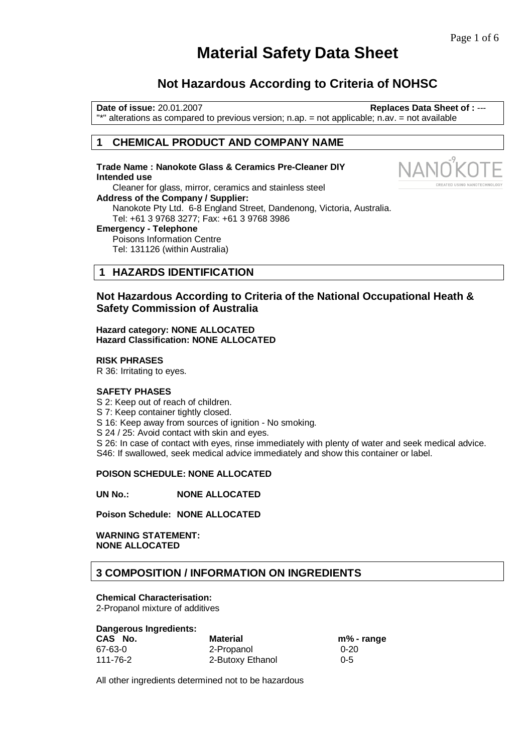**REATED USING NANOTECH** 

# **Material Safety Data Sheet**

# **Not Hazardous According to Criteria of NOHSC**

**Date of issue:** 20.01.2007 **Replaces Data Sheet of :** --- "\*" alterations as compared to previous version; n.ap. = not applicable; n.av. = not available

### **1 CHEMICAL PRODUCT AND COMPANY NAME**

**Trade Name : Nanokote Glass & Ceramics Pre-Cleaner DIY Intended use**  Cleaner for glass, mirror, ceramics and stainless steel **Address of the Company / Supplier:**  Nanokote Pty Ltd. 6-8 England Street, Dandenong, Victoria, Australia. Tel: +61 3 9768 3277; Fax: +61 3 9768 3986 **Emergency - Telephone**  Poisons Information Centre Tel: 131126 (within Australia)

# **1 HAZARDS IDENTIFICATION**

**Not Hazardous According to Criteria of the National Occupational Heath & Safety Commission of Australia** 

#### **Hazard category: NONE ALLOCATED Hazard Classification: NONE ALLOCATED**

#### **RISK PHRASES**

R 36: Irritating to eyes.

### **SAFETY PHASES**

S 2: Keep out of reach of children.

S 7: Keep container tightly closed.

S 16: Keep away from sources of ignition - No smoking.

S 24 / 25: Avoid contact with skin and eyes.

S 26: In case of contact with eyes, rinse immediately with plenty of water and seek medical advice. S46: If swallowed, seek medical advice immediately and show this container or label.

### **POISON SCHEDULE: NONE ALLOCATED**

**UN No.: NONE ALLOCATED** 

**Poison Schedule: NONE ALLOCATED** 

**WARNING STATEMENT: NONE ALLOCATED** 

### **3 COMPOSITION / INFORMATION ON INGREDIENTS**

#### **Chemical Characterisation:**

2-Propanol mixture of additives

#### **Dangerous Ingredients:**

| CAS No.  | <b>Material</b>  | m% - range |
|----------|------------------|------------|
| 67-63-0  | 2-Propanol       | $0 - 20$   |
| 111-76-2 | 2-Butoxy Ethanol | $0 - 5$    |

All other ingredients determined not to be hazardous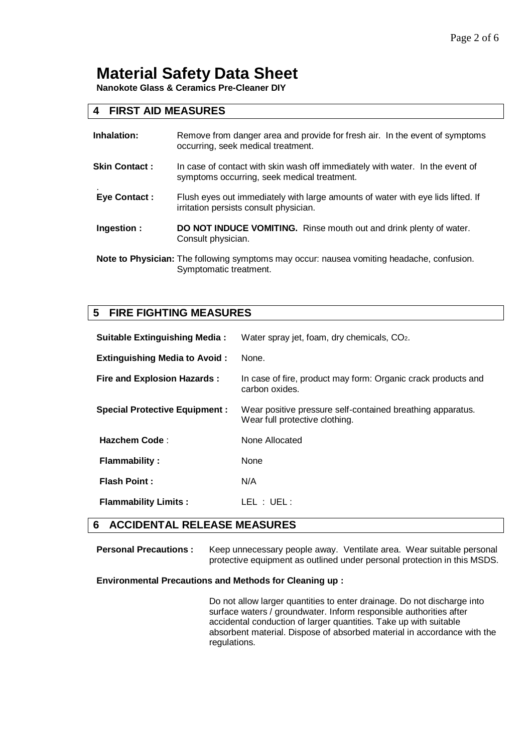**Nanokote Glass & Ceramics Pre-Cleaner DIY** 

# **4 FIRST AID MEASURES**

| Inhalation:          | Remove from danger area and provide for fresh air. In the event of symptoms<br>occurring, seek medical treatment.            |
|----------------------|------------------------------------------------------------------------------------------------------------------------------|
| <b>Skin Contact:</b> | In case of contact with skin wash off immediately with water. In the event of<br>symptoms occurring, seek medical treatment. |
| <b>Eye Contact:</b>  | Flush eyes out immediately with large amounts of water with eye lids lifted. If<br>irritation persists consult physician.    |
| Ingestion:           | DO NOT INDUCE VOMITING. Rinse mouth out and drink plenty of water.<br>Consult physician.                                     |
|                      | Note to Physician: The following symptoms may occur: nausea vomiting headache, confusion.<br>Symptomatic treatment.          |

# **5 FIRE FIGHTING MEASURES**

| <b>Suitable Extinguishing Media:</b> | Water spray jet, foam, dry chemicals, CO <sub>2</sub> .                                      |
|--------------------------------------|----------------------------------------------------------------------------------------------|
| <b>Extinguishing Media to Avoid:</b> | None.                                                                                        |
| <b>Fire and Explosion Hazards:</b>   | In case of fire, product may form: Organic crack products and<br>carbon oxides.              |
| <b>Special Protective Equipment:</b> | Wear positive pressure self-contained breathing apparatus.<br>Wear full protective clothing. |
| <b>Hazchem Code:</b>                 | None Allocated                                                                               |
| <b>Flammability:</b>                 | None                                                                                         |
| <b>Flash Point:</b>                  | N/A                                                                                          |
| <b>Flammability Limits:</b>          | LEL : UEL :                                                                                  |

### **6 ACCIDENTAL RELEASE MEASURES**

Personal Precautions : Keep unnecessary people away. Ventilate area. Wear suitable personal protective equipment as outlined under personal protection in this MSDS.

### **Environmental Precautions and Methods for Cleaning up :**

Do not allow larger quantities to enter drainage. Do not discharge into surface waters / groundwater. Inform responsible authorities after accidental conduction of larger quantities. Take up with suitable absorbent material. Dispose of absorbed material in accordance with the regulations.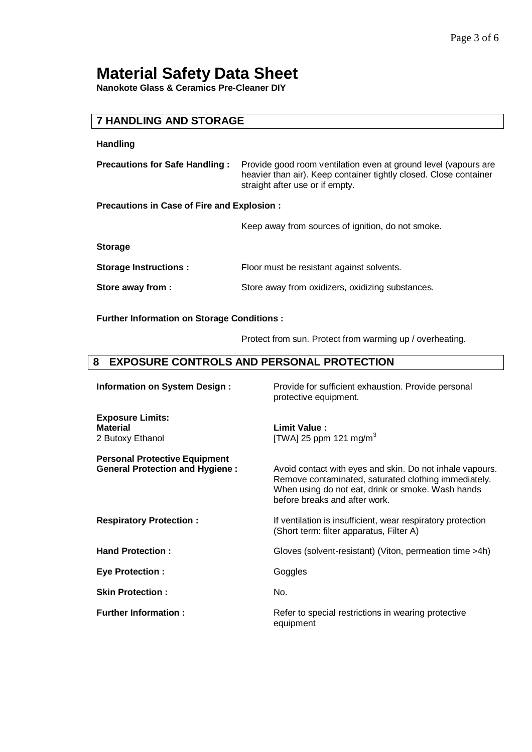**Nanokote Glass & Ceramics Pre-Cleaner DIY** 

# **7 HANDLING AND STORAGE**

### **Handling**

| <b>Precautions for Safe Handling :</b> Provide good room ventilation even at ground level (vapours are |
|--------------------------------------------------------------------------------------------------------|
| heavier than air). Keep container tightly closed. Close container                                      |
| straight after use or if empty.                                                                        |

**Precautions in Case of Fire and Explosion :** 

Keep away from sources of ignition, do not smoke.

**Storage** 

| <b>Storage Instructions:</b> | Floor must be resistant against solvents.        |
|------------------------------|--------------------------------------------------|
| Store away from :            | Store away from oxidizers, oxidizing substances. |

**Further Information on Storage Conditions :** 

Protect from sun. Protect from warming up / overheating.

# **8 EXPOSURE CONTROLS AND PERSONAL PROTECTION**

| <b>Information on System Design:</b>                                           | Provide for sufficient exhaustion. Provide personal<br>protective equipment.                                                                                                                           |
|--------------------------------------------------------------------------------|--------------------------------------------------------------------------------------------------------------------------------------------------------------------------------------------------------|
| <b>Exposure Limits:</b><br><b>Material</b><br>2 Butoxy Ethanol                 | Limit Value:<br>[TWA] 25 ppm 121 mg/m <sup>3</sup>                                                                                                                                                     |
| <b>Personal Protective Equipment</b><br><b>General Protection and Hygiene:</b> | Avoid contact with eyes and skin. Do not inhale vapours.<br>Remove contaminated, saturated clothing immediately.<br>When using do not eat, drink or smoke. Wash hands<br>before breaks and after work. |
| <b>Respiratory Protection:</b>                                                 | If ventilation is insufficient, wear respiratory protection<br>(Short term: filter apparatus, Filter A)                                                                                                |
| <b>Hand Protection:</b>                                                        | Gloves (solvent-resistant) (Viton, permeation time >4h)                                                                                                                                                |
| <b>Eye Protection:</b>                                                         | Goggles                                                                                                                                                                                                |
| <b>Skin Protection:</b>                                                        | No.                                                                                                                                                                                                    |
| <b>Further Information:</b>                                                    | Refer to special restrictions in wearing protective<br>equipment                                                                                                                                       |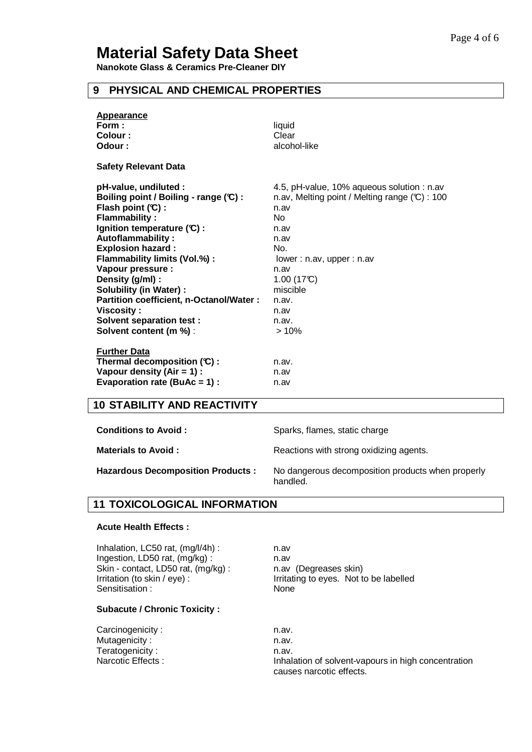**Nanokote Glass & Ceramics Pre-Cleaner DIY** 

# **9 PHYSICAL AND CHEMICAL PROPERTIES**

| <b>Appearance</b><br>Form:<br>Colour:<br>Odour: | liquid<br>Clear<br>alcohol-like                          |
|-------------------------------------------------|----------------------------------------------------------|
|                                                 |                                                          |
| <b>Safety Relevant Data</b>                     |                                                          |
| pH-value, undiluted :                           | 4.5, pH-value, 10% aqueous solution : n.av               |
| Boiling point / Boiling - range (C) :           | n.av, Melting point / Melting range $(\mathbb{C})$ : 100 |
| Flash point $(C)$ :                             | n.av                                                     |
| <b>Flammability:</b>                            | No                                                       |
| Ignition temperature (C):                       | n.av                                                     |
| Autoflammability:                               | n.av                                                     |
| <b>Explosion hazard:</b>                        | No.                                                      |
| Flammability limits (Vol.%) :                   | lower: n.av, upper: n.av                                 |
| Vapour pressure :                               | n.av                                                     |
| Density (g/ml) :                                | 1.00(17C)                                                |
| <b>Solubility (in Water):</b>                   | miscible                                                 |
| Partition coefficient, n-Octanol/Water :        | n.av.                                                    |
| <b>Viscosity:</b>                               | n.av                                                     |
| <b>Solvent separation test:</b>                 | n.av.                                                    |
| Solvent content (m %) :                         | >10%                                                     |
| <b>Further Data</b>                             |                                                          |
| Thermal decomposition $(C)$ :                   | n.av.                                                    |
| Vapour density $(Air = 1)$ :                    | n.av                                                     |
| Evaporation rate (BuAc = 1) :                   | n.av                                                     |

### **10 STABILITY AND REACTIVITY**

| <b>Conditions to Avoid</b> |  |  |  |
|----------------------------|--|--|--|
|----------------------------|--|--|--|

**Conditions to Avoid :** Sparks, flames, static charge

**Materials to Avoid : Reactions with strong oxidizing agents.** 

**Hazardous Decomposition Products :** No dangerous decomposition products when properly handled.

### **11 TOXICOLOGICAL INFORMATION**

#### **Acute Health Effects :**

Inhalation, LC50 rat, (mg/l/4h) : n.av Ingestion, LD50 rat, (mg/kg) : n.av Skin - contact, LD50 rat, (mg/kg) : n.av (Degreases skin) Sensitisation : None

### **Subacute / Chronic Toxicity :**

Carcinogenicity : n.av. Mutagenicity : n.av. Teratogenicity : n.av.

Irritation (to skin / eye) : Irritating to eyes. Not to be labelled

Narcotic Effects : **Inhalation of solvent-vapours in high concentration** causes narcotic effects.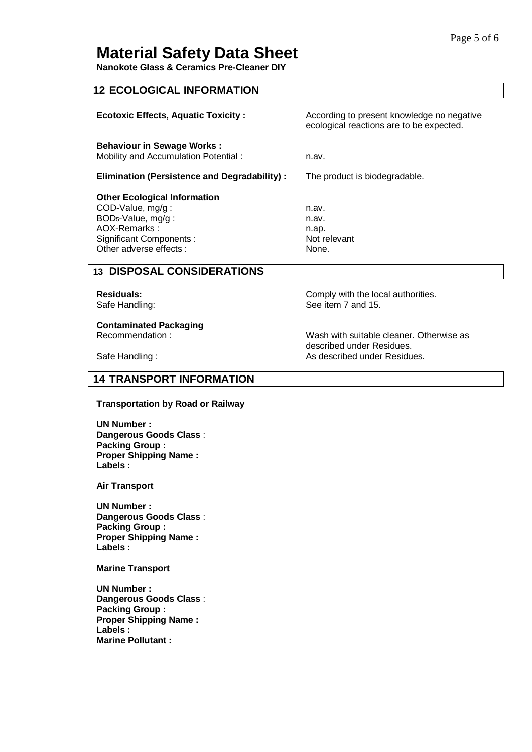**Nanokote Glass & Ceramics Pre-Cleaner DIY** 

### **12 ECOLOGICAL INFORMATION**

| <b>Ecotoxic Effects, Aquatic Toxicity:</b>                                                                                                                            | According to present knowledge no negative<br>ecological reactions are to be expected. |
|-----------------------------------------------------------------------------------------------------------------------------------------------------------------------|----------------------------------------------------------------------------------------|
| <b>Behaviour in Sewage Works:</b><br>Mobility and Accumulation Potential:                                                                                             | n.av.                                                                                  |
| Elimination (Persistence and Degradability):                                                                                                                          | The product is biodegradable.                                                          |
| <b>Other Ecological Information</b><br>COD-Value, mg/g:<br>BOD <sub>5</sub> -Value, mg/g:<br>AOX-Remarks:<br><b>Significant Components:</b><br>Other adverse effects: | n.av.<br>n.av.<br>n.ap.<br>Not relevant<br>None.                                       |
| 12 DIEDAEAL CANEIDED ATIANE                                                                                                                                           |                                                                                        |

# **13 DISPOSAL CONSIDERATIONS**

# **Contaminated Packaging**

**Residuals: Comply with the local authorities.** Safe Handling: Safe Handling: See item 7 and 15.

Recommendation : The Commendation : Wash with suitable cleaner. Otherwise as described under Residues. Safe Handling : As described under Residues.

# **14 TRANSPORT INFORMATION**

### **Transportation by Road or Railway**

**UN Number : Dangerous Goods Class** : **Packing Group : Proper Shipping Name : Labels :**

**Air Transport** 

**UN Number : Dangerous Goods Class** : **Packing Group : Proper Shipping Name : Labels :**

**Marine Transport** 

**UN Number : Dangerous Goods Class** : **Packing Group : Proper Shipping Name : Labels : Marine Pollutant :**